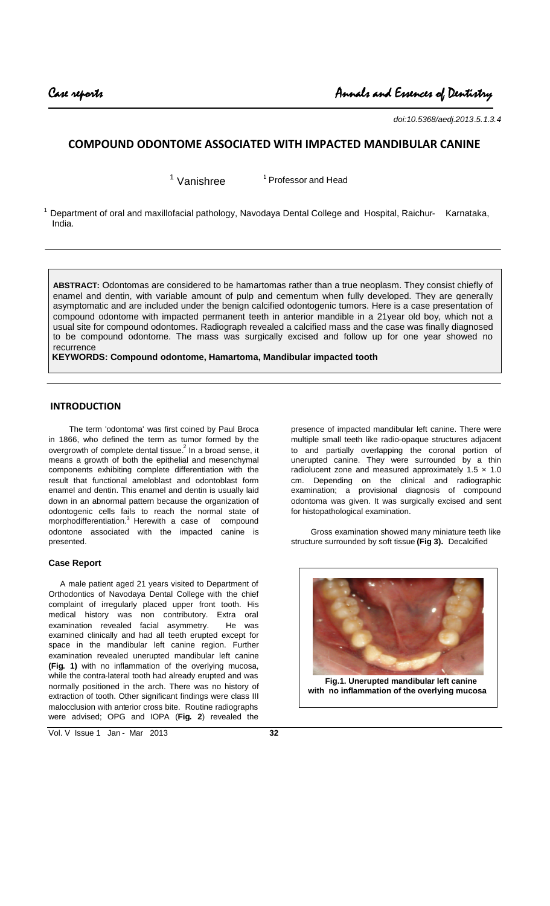*doi:10.5368/aedj.2013.5.1.3.4*

# **COMPOUND ODONTOME ASSOCIATED WITH IMPACTED MANDIBULAR CANINE**

 $1$  Vanishree

<sup>1</sup> Professor and Head

 $1$  Department of oral and maxillofacial pathology, Navodaya Dental College and Hospital, Raichur- Karnataka, India.

**ABSTRACT:** Odontomas are considered to be hamartomas rather than a true neoplasm. They consist chiefly of enamel and dentin, with variable amount of pulp and cementum when fully developed. They are generally asymptomatic and are included under the benign calcified odontogenic tumors. Here is a case presentation of compound odontome with impacted permanent teeth in anterior mandible in a 21year old boy, which not a usual site for compound odontomes. Radiograph revealed a calcified mass and the case was finally diagnosed to be compound odontome. The mass was surgically excised and follow up for one year showed no recurrence

**KEYWORDS: Compound odontome, Hamartoma, Mandibular impacted tooth**

## **INTRODUCTION**

The term 'odontoma' was first coined by Paul Broca in 1866, who defined the term as tumor formed by the overgrowth of complete dental tissue. $^{\text{2}}$  In a broad sense, it means a growth of both the epithelial and mesenchymal components exhibiting complete differentiation with the result that functional ameloblast and odontoblast form enamel and dentin. This enamel and dentin is usually laid down in an abnormal pattern because the organization of odontogenic cells fails to reach the normal state of morphodifferentiation.<sup>3</sup> Herewith a case of compound odontone associated with the impacted canine is presented.

#### **Case Report**

A male patient aged 21 years visited to Department of Orthodontics of Navodaya Dental College with the chief complaint of irregularly placed upper front tooth. His medical history was non contributory. Extra oral examination revealed facial asymmetry. He was examined clinically and had all teeth erupted except for space in the mandibular left canine region. Further examination revealed unerupted mandibular left canine **(Fig. 1)** with no inflammation of the overlying mucosa, while the contra-lateral tooth had already erupted and was normally positioned in the arch. There was no history of extraction of tooth. Other significant findings were class III malocclusion with anterior cross bite. Routine radiographs were advised; OPG and IOPA (**Fig. 2**) revealed the

presence of impacted mandibular left canine. There were multiple small teeth like radio-opaque structures adjacent to and partially overlapping the coronal portion of unerupted canine. They were surrounded by a thin radiolucent zone and measured approximately  $1.5 \times 1.0$ cm. Depending on the clinical and radiographic examination; a provisional diagnosis of compound odontoma was given. It was surgically excised and sent for histopathological examination.

Gross examination showed many miniature teeth like structure surrounded by soft tissue **(Fig 3).** Decalcified



**with no inflammation of the overlying mucosa**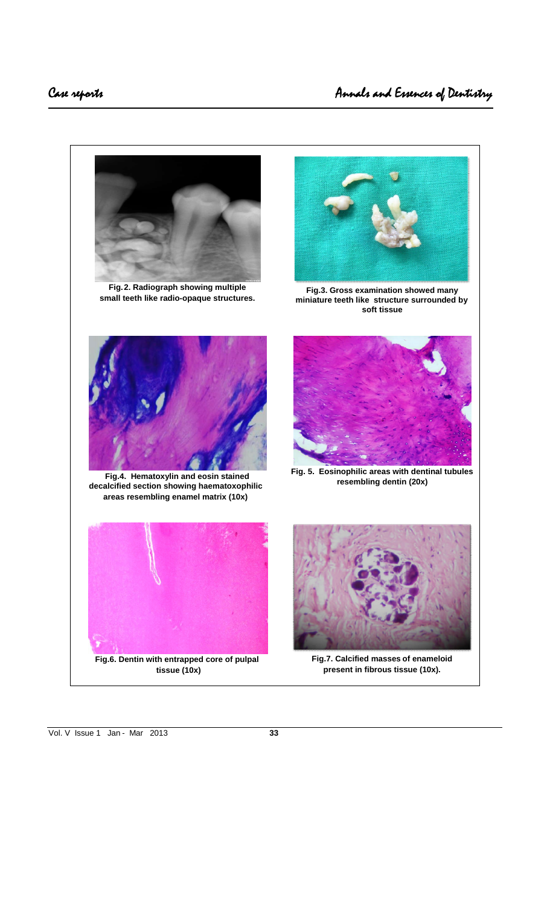